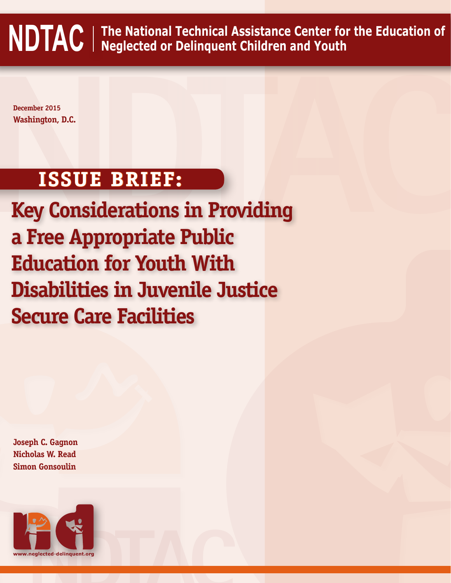**NDTAC The National Technical Assistance Center for the Education of Neglected or Delinquent Children and Youth**

**December 2015 Washington, D.C.**

# **ISSUE BRIEF:**

**December 2015**<br>Washington, D.C.<br>**ISSUE BRIEF:**<br>**Key Considerations in Providing**<br>**a Free Appropriate Public Key Considerations in Providing a Free Appropriate Public Education for Youth With Disabilities in Juvenile Justice Secure Care Facilities**

**Joseph C. Gagnon Nicholas W. Read Simon Gonsoulin**

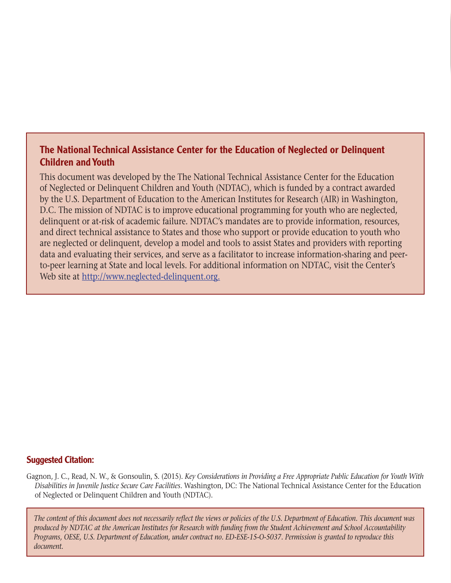## The National Technical Assistance Center for the Education of Neglected or Delinquent Children and Youth

This document was developed by the The National Technical Assistance Center for the Education of Neglected or Delinquent Children and Youth (NDTAC), which is funded by a contract awarded by the U.S. Department of Education to the American Institutes for Research (AIR) in Washington, D.C. The mission of NDTAC is to improve educational programming for youth who are neglected, delinquent or at-risk of academic failure. NDTAC's mandates are to provide information, resources, and direct technical assistance to States and those who support or provide education to youth who are neglected or delinquent, develop a model and tools to assist States and providers with reporting data and evaluating their services, and serve as a facilitator to increase information-sharing and peerto-peer learning at State and local levels. For additional information on NDTAC, visit the Center's Web site at [http://www.neglected-delinquent.org.](http://www.neglected-delinquent.org)

### Suggested Citation:

Gagnon, J. C., Read, N. W., & Gonsoulin, S. (2015). *Key Considerations in Providing a Free Appropriate Public Education for Youth With Disabilities in Juvenile Justice Secure Care Facilities.* Washington, DC: The National Technical Assistance Center for the Education of Neglected or Delinquent Children and Youth (NDTAC).

*The content of this document does not necessarily reflect the views or policies of the U.S. Department of Education. This document was produced by NDTAC at the American Institutes for Research with funding from the Student Achievement and School Accountability Programs, OESE, U.S. Department of Education, under contract no. ED-ESE-15-O-5037. Permission is granted to reproduce this document.*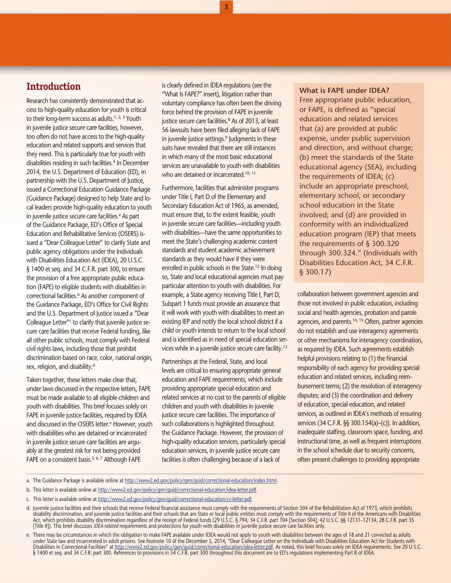## **Introduction**

Research has consistently demonstrated that access to high-quality education for youth is critical to their long-term success as adults.<sup>[1,](#page-9-0) [2,](#page-9-1) [3](#page-9-2)</sup> Youth in juvenile justice secure care facilities, however, too often do not have access to the high-quality education and related supports and services that they need. This is particularly true for youth with disabilities residing in such facilities.<sup>4</sup> In December 2014, the U.S. Department of Education (ED), in partnership with the U.S. Department of Justice, issued a Correctional Education Guidance Package (Guidance Package) designed to help State and local leaders provide high-quality education to youth in juvenile justice secure care facilities.<sup>a</sup> As part of the Guidance Package, ED's Office of Special Education and Rehabilitative Services (OSERS) issued a "Dear Colleague Letter" to clarify State and public agency obligations under the Individuals with Disabilities Education Act (IDEA), 20 U.S.C. § 1400 et seq. and 34 C.F.R. part 300, to ensure the provision of a free appropriate public education (FAPE) to eligible students with disabilities in correctional facilities.<sup>b</sup> As another component of the Guidance Package, ED's Office for Civil Rights and the U.S. Department of Justice issued a "Dear Colleague Letter"<sup>c</sup> to clarify that juvenile justice secure care facilities that receive Federal funding, like all other public schools, must comply with Federal civil rights laws, including those that prohibit discrimination based on race, color, national origin, sex, religion, an[d](#page-2-3) disability.<sup>d</sup>

Taken together, these letters make clear that, under laws discussed in the respective letters, FAPE must be made available to all eligible children and youth with disabilities. This brief focuses solely on FAPE in juvenile justice facilities, required by IDEA and discussed in the OSERS letter.<sup>e</sup> However, youth with disabilities who are detained or incarcerated in juvenile justice secure care facilities are arguably at the greatest risk for not being provided FAPE on a consistent basis.<sup>5, [6](#page-9-5), [7](#page-9-6)</sup> Although FAPE

is clearly defined in IDEA regulations (see the "What Is FAPE?" insert), litigation rather than voluntary compliance has often been the driving force behind the provision of FAPE in juvenile justice secure care facilities.<sup>[8](#page-9-7)</sup> As of 2013, at least 56 lawsuits have been filed alleging lack of FAPE in juvenile justice settings.<sup>9</sup> Judgments in these suits have revealed that there are still instances in which many of the most basic educational services are unavailable to youth with disabilities who are detained or incarcerated.<sup>10, [11](#page-9-10)</sup>

**3**

Furthermore, facilities that administer programs under Title I, Part D of the Elementary and Secondary Education Act of 1965, as amended, must ensure that, to the extent feasible, youth in juvenile secure care facilities—including youth with disabilities—have the same opportunities to meet the State's challenging academic content standards and student academic achievement standards as they would have if they were enrolled in public schools in the State.<sup>12</sup> In doing so, State and local educational agencies must pay particular attention to youth with disabilities. For example, a State agency receiving Title I, Part D, Subpart 1 funds must provide an assurance that it will work with youth with disabilities to meet an existing IEP and notify the local school district if a child or youth intends to return to the local school and is identified as in need of special education services while in a juvenile justice secure care facility.<sup>13</sup>

Partnerships at the Federal, State, and local levels are critical to ensuring appropriate general education and FAPE requirements, which include providing appropriate special education and related services at no cost to the parents of eligible children and youth with disabilities in juvenile justice secure care facilities. The importance of such collaborations is highlighted throughout the Guidance Package. However, the provision of high-quality education services, particularly special education services, in juvenile justice secure care facilities is often challenging because of a lack of

#### **What is FAPE under IDEA?**

Free appropriate public education, or FAPE, is defined as "special education and related services that (a) are provided at public expense, under public supervision and direction, and without charge; (b) meet the standards of the State educational agency (SEA), including the requirements of IDEA; (c) include an appropriate preschool, elementary school, or secondary school education in the State involved; and (d) are provided in conformity with an individualized education program (IEP) that meets the requirements of § 300.320 through 300.324." (Individuals with Disabilities Education Act, 34 C.F.R. § 300.17)

collaboration between government agencies and those not involved in public education, including social and health agencies, probation and parole agencies, and parents.[14,](#page-9-13) [15](#page-9-14) Often, partner agencies do not establish and use interagency agreements or other mechanisms for interagency coordination, as required by IDEA. Such agreements establish helpful provisions relating to (1) the financial responsibility of each agency for providing special education and related services, including reimbursement terms; (2) the resolution of interagency disputes; and (3) the coordination and delivery of education, special education, and related services, as outlined in IDEA's methods of ensuring services (34 C.F.R. §§ 300.154(a)–(c)). In addition, inadequate staffing, classroom space, funding, and instructional time, as well as frequent interruptions in the school schedule due to security concerns, often present challenges to providing appropriate

- <span id="page-2-0"></span>a. The Guidance Package is available online at [http://www2.ed.gov/policy/gen/guid/correctional-education/index.html.](http://www2.ed.gov/policy/gen/guid/correctional-education/index.html)
- <span id="page-2-1"></span>b. This letter is available online at [http://www2.ed.gov/policy/gen/guid/correctional-education/idea-letter.pdf.](http://www2.ed.gov/policy/gen/guid/correctional-education/idea-letter.pdf)
- <span id="page-2-2"></span>c. This letter is available online at<http://www2.ed.gov/policy/gen/guid/correctional-education/cr-letter.pdf>.
- <span id="page-2-3"></span>d. Juvenile justice facilities and their schools that receive Federal financial assistance must comply with the requirements of Section 504 of the Rehabilitation Act of 1973, which prohibits disability discrimination, and juvenile justice facilities and their schools that are State or local public entities must comply with the requirements of Title II of the Americans with Disabilities<br>Act, which prohibits dis
- <span id="page-2-4"></span>e. There may be circumstances in which the obligation to make FAPE available under IDEA would not apply to youth with disabilities between the ages of 18 and 21 convicted as adults under State law and incarcerated in adult prisons. See footnote 10 of the December 5, 2014, "Dear Colleague Letter on the Individuals with Disabilities Education Act for Students with<br>Disabilities in Correctional Facilitie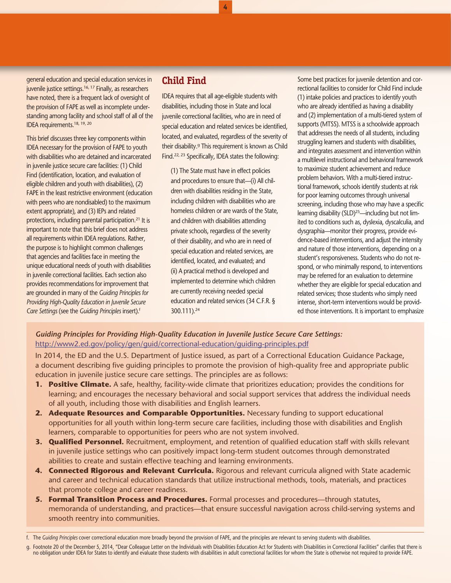general education and special education services in juvenile justice settings.<sup>[16,](#page-9-15) 17</sup> Finally, as researchers have noted, there is a frequent lack of oversight of the provision of FAPE as well as incomplete understanding among facility and school staff of all of the IDEA requirements[.18](#page-9-17), [19](#page-9-18), [20](#page-9-19)

This brief discusses three key components within IDEA necessary for the provision of FAPE to youth with disabilities who are detained and incarcerated in juvenile justice secure care facilities: (1) Child Find (identification, location, and evaluation of eligible children and youth with disabilities), (2) FAPE in the least restrictive environment (education with peers who are nondisabled) to the maximum extent appropriate), and (3) IEPs and related protections, including parental participation[.21](#page-9-20) It is important to note that this brief does not address all requirements within IDEA regulations. Rather, the purpose is to highlight common challenges that agencies and facilities face in meeting the unique educational needs of youth with disabilities in juvenile correctional facilities. Each section also provides recommendations for improvement that are grounded in many of the *Guiding Principles for Providing High-Quality Education in Juvenile Secure Care Settings* (see the *Guiding Principles* insert)[.f](#page-3-0)

## **Child Find**

IDEA requires that all age-eligible students with disabilities, including those in State and local juvenile correctional facilities, who are in need of special education and related services be identified, located, and evaluated, regardless of the severity of their disability.<sup>9</sup> This requirement is known as Child Find[.22](#page-9-21), [23](#page-9-22) Specifically, IDEA states the following:

**4**

(1) The State must have in effect policies and procedures to ensure that—(i) All children with disabilities residing in the State, including children with disabilities who are homeless children or are wards of the State, and children with disabilities attending private schools, regardless of the severity of their disability, and who are in need of special education and related services, are identified, located, and evaluated; and (ii) A practical method is developed and implemented to determine which children are currently receiving needed special education and related services (34 C.F.R. § 300.111)[.24](#page-9-23)

Some best practices for juvenile detention and correctional facilities to consider for Child Find include (1) intake policies and practices to identify youth who are already identified as having a disability and (2) implementation of a multi-tiered system of supports (MTSS). MTSS is a schoolwide approach that addresses the needs of all students, including struggling learners and students with disabilities, and integrates assessment and intervention within a multilevel instructional and behavioral framework to maximize student achievement and reduce problem behaviors. With a multi-tiered instructional framework, schools identify students at risk for poor learning outcomes through universal screening, including those who may have a specific learning disability (SLD)<sup>25</sup>—including but not limited to conditions such as, dyslexia, dyscalculia, and dysgraphia—monitor their progress, provide evidence-based interventions, and adjust the intensity and nature of those interventions, depending on a student's responsiveness. Students who do not respond, or who minimally respond, to interventions may be referred for an evaluation to determine whether they are eligible for special education and related services; those students who simply need intense, short-term interventions would be provided those interventions. It is important to emphasize

*Guiding Principles for Providing High-Quality Education in Juvenile Justice Secure Care Settings:* <http://www2.ed.gov/policy/gen/guid/correctional-education/guiding-principles.pdf>

In 2014, the ED and the U.S. Department of Justice issued, as part of a Correctional Education Guidance Package, a document describing five guiding principles to promote the provision of high-quality free and appropriate public education in juvenile justice secure care settings. The principles are as follows:

- **1. Positive Climate.** A safe, healthy, facility-wide climate that prioritizes education; provides the conditions for learning; and encourages the necessary behavioral and social support services that address the individual needs of all youth, including those with disabilities and English learners.
- 2. Adequate Resources and Comparable Opportunities. Necessary funding to support educational opportunities for all youth within long-term secure care facilities, including those with disabilities and English learners, comparable to opportunities for peers who are not system involved.
- **3. Qualified Personnel.** Recruitment, employment, and retention of qualified education staff with skills relevant in juvenile justice settings who can positively impact long-term student outcomes through demonstrated abilities to create and sustain effective teaching and learning environments.
- **4. Connected Rigorous and Relevant Curricula.** Rigorous and relevant curricula aligned with State academic and career and technical education standards that utilize instructional methods, tools, materials, and practices that promote college and career readiness.
- **5. Formal Transition Process and Procedures.** Formal processes and procedures—through statutes, memoranda of understanding, and practices—that ensure successful navigation across child-serving systems and smooth reentry into communities.

<span id="page-3-0"></span>f. The *Guiding Principles* cover correctional education more broadly beyond the provision of FAPE, and the principles are relevant to serving students with disabilities.

<span id="page-3-1"></span>g. Footnote 20 of the December 5, 2014, "Dear Colleague Letter on the Individuals with Disabilities Education Act for Students with Disabilities in Correctional Facilities" clarifies that there is no obligation under IDEA for States to identify and evaluate those students with disabilities in adult correctional facilities for whom the State is otherwise not required to provide FAPE.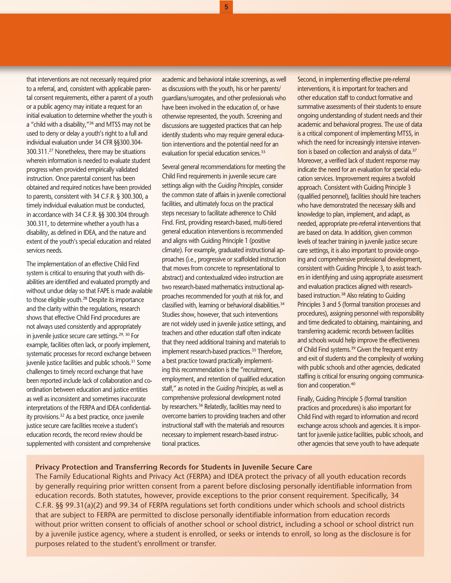that interventions are not necessarily required prior to a referral, and, consistent with applicable parental consent requirements, either a parent of a youth or a public agency may initiate a request for an initial evaluation to determine whether the youth is a "child with a disability,"<sup>26</sup> and MTSS may not be used to deny or delay a youth's right to a full and individual evaluation under 34 CFR §§300.304- 300.311.[27](#page-9-26) Nonetheless, there may be situations wherein information is needed to evaluate student progress when provided empirically validated instruction. Once parental consent has been obtained and required notices have been provided to parents, consistent with 34 C.F.R. § 300.300, a timely individual evaluation must be conducted, in accordance with 34 C.F.R. §§ 300.304 through 300.311, to determine whether a youth has a disability, as defined in IDEA, and the nature and extent of the youth's special education and related services needs.

The implementation of an effective Child Find system is critical to ensuring that youth with disabilities are identified and evaluated promptly and without undue delay so that FAPE is made available to those eligible youth.<sup>28</sup> Despite its importance and the clarity within the regulations, research shows that effective Child Find procedures are not always used consistently and appropriately in juvenile justice secure care settings.<sup>29, 30</sup> For example, facilities often lack, or poorly implement, systematic processes for record exchange between juvenile justice facilities and public schools.<sup>31</sup> Some challenges to timely record exchange that have been reported include lack of collaboration and coordination between education and justice entities as well as inconsistent and sometimes inaccurate interpretations of the FERPA and IDEA confidentiality provisions[.32](#page-10-3) As a best practice, once juvenile justice secure care facilities receive a student's education records, the record review should be supplemented with consistent and comprehensive

academic and behavioral intake screenings, as well as discussions with the youth, his or her parents/ guardians/surrogates, and other professionals who have been involved in the education of, or have otherwise represented, the youth. Screening and discussions are suggested practices that can help identify students who may require general education interventions and the potential need for an evaluation for special education services.<sup>33</sup>

Several general recommendations for meeting the Child Find requirements in juvenile secure care settings align with the *Guiding Principles*, consider the common state of affairs in juvenile correctional facilities, and ultimately focus on the practical steps necessary to facilitate adherence to Child Find. First, providing research-based, multi-tiered general education interventions is recommended and aligns with Guiding Principle 1 (positive climate). For example, graduated instructional approaches (i.e., progressive or scaffolded instruction that moves from concrete to representational to abstract) and contextualized video instruction are two research-based mathematics instructional approaches recommended for youth at risk for, and classified with, learning or behavioral disabilities.<sup>34</sup> Studies show, however, that such interventions are not widely used in juvenile justice settings, and teachers and other education staff often indicate that they need additional training and materials to implement research-based practices.<sup>35</sup> Therefore, a best practice toward practically implementing this recommendation is the "recruitment, employment, and retention of qualified education staff," as noted in the *Guiding Principles*, as well as comprehensive professional development noted by researchers.<sup>36</sup> Relatedly, facilities may need to overcome barriers to providing teachers and other instructional staff with the materials and resources necessary to implement research-based instructional practices.

Second, in implementing effective pre-referral interventions, it is important for teachers and other education staff to conduct formative and summative assessments of their students to ensure ongoing understanding of student needs and their academic and behavioral progress. The use of data is a critical component of implementing MTSS, in which the need for increasingly intensive intervention is based on collection and analysis of data.<sup>37</sup> Moreover, a verified lack of student response may indicate the need for an evaluation for special education services. Improvement requires a twofold approach. Consistent with Guiding Principle 3 (qualified personnel), facilities should hire teachers who have demonstrated the necessary skills and knowledge to plan, implement, and adapt, as needed, appropriate pre-referral interventions that are based on data. In addition, given common levels of teacher training in juvenile justice secure care settings, it is also important to provide ongoing and comprehensive professional development, consistent with Guiding Principle 3, to assist teachers in identifying and using appropriate assessment and evaluation practices aligned with researchbased instruction[.38](#page-10-9) Also relating to Guiding Principles 3 and 5 (formal transition processes and procedures), assigning personnel with responsibility and time dedicated to obtaining, maintaining, and transferring academic records between facilities and schools would help improve the effectiveness of Child Find systems.[39](#page-10-10) Given the frequent entry and exit of students and the complexity of working with public schools and other agencies, dedicated staffing is critical for ensuring ongoing communication and cooperation.<sup>40</sup>

Finally, Guiding Principle 5 (formal transition practices and procedures) is also important for Child Find with regard to information and record exchange across schools and agencies. It is important for juvenile justice facilities, public schools, and other agencies that serve youth to have adequate

#### **Privacy Protection and Transferring Records for Students in Juvenile Secure Care**

The Family Educational Rights and Privacy Act (FERPA) and IDEA protect the privacy of all youth education records by generally requiring prior written consent from a parent before disclosing personally identifiable information from education records. Both statutes, however, provide exceptions to the prior consent requirement. Specifically, 34 C.F.R. §§ 99.31(a)(2) and 99.34 of FERPA regulations set forth conditions under which schools and school districts that are subject to FERPA are permitted to disclose personally identifiable information from education records without prior written consent to officials of another school or school district, including a school or school district run by a juvenile justice agency, where a student is enrolled, or seeks or intends to enroll, so long as the disclosure is for purposes related to the student's enrollment or transfer.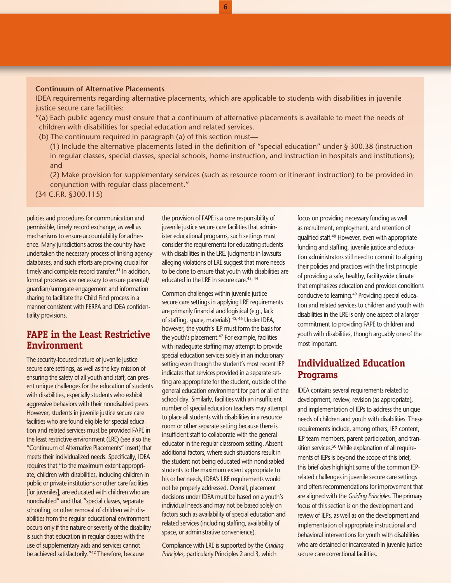#### **Continuum of Alternative Placements**

IDEA requirements regarding alternative placements, which are applicable to students with disabilities in juvenile justice secure care facilities:

**6**

"(a) Each public agency must ensure that a continuum of alternative placements is available to meet the needs of children with disabilities for special education and related services.

(b) The continuum required in paragraph (a) of this section must—

(1) Include the alternative placements listed in the definition of "special education" under § 300.38 (instruction in regular classes, special classes, special schools, home instruction, and instruction in hospitals and institutions); and

(2) Make provision for supplementary services (such as resource room or itinerant instruction) to be provided in conjunction with regular class placement."

(34 C.F.R. §300.115)

policies and procedures for communication and permissible, timely record exchange, as well as mechanisms to ensure accountability for adherence. Many jurisdictions across the country have undertaken the necessary process of linking agency databases, and such efforts are proving crucial for timely and complete record transfer.<sup>41</sup> In addition, formal processes are necessary to ensure parental/ guardian/surrogate engagement and information sharing to facilitate the Child Find process in a manner consistent with FERPA and IDEA confidentiality provisions.

### **FAPE in the Least Restrictive Environment**

The security-focused nature of juvenile justice secure care settings, as well as the key mission of ensuring the safety of all youth and staff, can present unique challenges for the education of students with disabilities, especially students who exhibit aggressive behaviors with their nondisabled peers. However, students in juvenile justice secure care facilities who are found eligible for special education and related services must be provided FAPE in the least restrictive environment (LRE) (see also the "Continuum of Alternative Placements" insert) that meets their individualized needs. Specifically, IDEA requires that "to the maximum extent appropriate, children with disabilities, including children in public or private institutions or other care facilities [for juveniles], are educated with children who are nondisabled" and that "special classes, separate schooling, or other removal of children with disabilities from the regular educational environment occurs only if the nature or severity of the disability is such that education in regular classes with the use of supplementary aids and services cannot be achieved satisfactorily.["42](#page-10-13) Therefore, because

the provision of FAPE is a core responsibility of juvenile justice secure care facilities that administer educational programs, such settings must consider the requirements for educating students with disabilities in the LRE. Judgments in lawsuits alleging violations of LRE suggest that more needs to be done to ensure that youth with disabilities are educated in the LRE in secure care.<sup>[43,](#page-10-14) [44](#page-10-15)</sup>

Common challenges within juvenile justice secure care settings in applying LRE requirements are primarily financial and logistical (e.g., lack of staffing, space, materials).<sup>[45,](#page-10-16) 46</sup> Under IDEA, however, the youth's IEP must form the basis for the youth's placement.<sup>47</sup> For example, facilities with inadequate staffing may attempt to provide special education services solely in an inclusionary setting even though the student's most recent IEP indicates that services provided in a separate setting are appropriate for the student, outside of the general education environment for part or all of the school day. Similarly, facilities with an insufficient number of special education teachers may attempt to place all students with disabilities in a resource room or other separate setting because there is insufficient staff to collaborate with the general educator in the regular classroom setting. Absent additional factors, where such situations result in the student not being educated with nondisabled students to the maximum extent appropriate to his or her needs, IDEA's LRE requirements would not be properly addressed. Overall, placement decisions under IDEA must be based on a youth's individual needs and may not be based solely on factors such as availability of special education and related services (including staffing, availability of space, or administrative convenience).

Compliance with LRE is supported by the *Guiding Principles*, particularly Principles 2 and 3, which

focus on providing necessary funding as well as recruitment, employment, and retention of qualified staff[.48](#page-10-19) However, even with appropriate funding and staffing, juvenile justice and education administrators still need to commit to aligning their policies and practices with the first principle of providing a safe, healthy, facilitywide climate that emphasizes education and provides conditions conducive to learning.<sup>49</sup> Providing special education and related services to children and youth with disabilities in the LRE is only one aspect of a larger commitment to providing FAPE to children and youth with disabilities, though arguably one of the most important.

## **Individualized Education Programs**

IDEA contains several requirements related to development, review, revision (as appropriate), and implementation of IEPs to address the unique needs of children and youth with disabilities. These requirements include, among others, IEP content, IEP team members, parent participation, and transition services.<sup>50</sup> While explanation of all requirements of IEPs is beyond the scope of this brief, this brief *does* highlight some of the common IEPrelated challenges in juvenile secure care settings and offers recommendations for improvement that are aligned with the *Guiding Principles*. The primary focus of this section is on the development and review of IEPs, as well as on the development and implementation of appropriate instructional and behavioral interventions for youth with disabilities who are detained or incarcerated in juvenile justice secure care correctional facilities.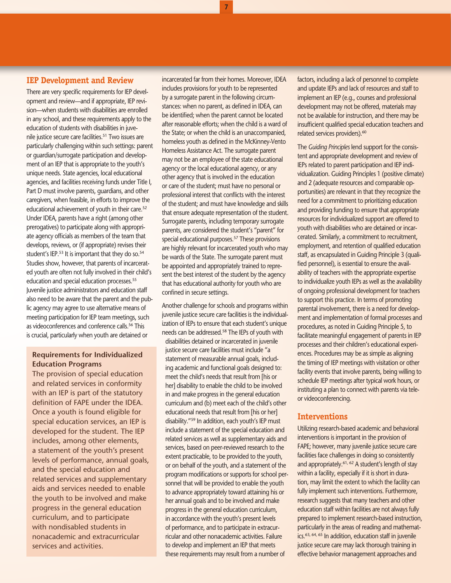#### **IEP Development and Review**

There are very specific requirements for IEP development and review—and if appropriate, IEP revision—when students with disabilities are enrolled in any school, and these requirements apply to the education of students with disabilities in juvenile justice secure care facilities.<sup>51</sup> Two issues are particularly challenging within such settings: parent or guardian/surrogate participation and development of an IEP that is appropriate to the youth's unique needs. State agencies, local educational agencies, and facilities receiving funds under Title I, Part D must involve parents, guardians, and other caregivers, when feasible, in efforts to improve the educational achievement of youth in their care.<sup>52</sup> Under IDEA, parents have a right (among other prerogatives) to participate along with appropriate agency officials as members of the team that develops, reviews, or (if appropriate) revises their student's IEP.<sup>53</sup> It is important that they do so.<sup>54</sup> Studies show, however, that parents of incarcerated youth are often not fully involved in their child's education and special education processes.<sup>[55](#page-10-26)</sup> Juvenile justice administrators and education staff also need to be aware that the parent and the public agency may agree to use alternative means of meeting participation for IEP team meetings, such as videoconferences and conference calls.<sup>56</sup> This is crucial, particularly when youth are detained or

#### **Requirements for Individualized Education Programs**

The provision of special education and related services in conformity with an IEP is part of the statutory definition of FAPE under the IDEA. Once a youth is found eligible for special education services, an IEP is developed for the student. The IEP includes, among other elements, a statement of the youth's present levels of performance, annual goals, and the special education and related services and supplementary aids and services needed to enable the youth to be involved and make progress in the general education curriculum, and to participate with nondisabled students in nonacademic and extracurricular services and activities.

incarcerated far from their homes. Moreover, IDEA includes provisions for youth to be represented by a surrogate parent in the following circumstances: when no parent, as defined in IDEA, can be identified; when the parent cannot be located after reasonable efforts; when the child is a ward of the State; or when the child is an unaccompanied, homeless youth as defined in the McKinney-Vento Homeless Assistance Act. The surrogate parent may not be an employee of the state educational agency or the local educational agency, or any other agency that is involved in the education or care of the student; must have no personal or professional interest that conflicts with the interest of the student; and must have knowledge and skills that ensure adequate representation of the student. Surrogate parents, including temporary surrogate parents, are considered the student's "parent" for special educational purposes.<sup>57</sup> These provisions are highly relevant for incarcerated youth who may be wards of the State. The surrogate parent must be appointed and appropriately trained to represent the best interest of the student by the agency that has educational authority for youth who are confined in secure settings.

**7**

Another challenge for schools and programs within juvenile justice secure care facilities is the individualization of IEPs to ensure that each student's unique needs can be addressed[.58](#page-10-29) The IEPs of youth with disabilities detained or incarcerated in juvenile justice secure care facilities must include "a statement of measurable annual goals, including academic and functional goals designed to: meet the child's needs that result from [his or her] disability to enable the child to be involved in and make progress in the general education curriculum and (b) meet each of the child's other educational needs that result from [his or her] disability.["59](#page-10-30) In addition, each youth's IEP must include a statement of the special education and related services as well as supplementary aids and services, based on peer-reviewed research to the extent practicable, to be provided to the youth, or on behalf of the youth, and a statement of the program modifications or supports for school personnel that will be provided to enable the youth to advance appropriately toward attaining his or her annual goals and to be involved and make progress in the general education curriculum, in accordance with the youth's present levels of performance, and to participate in extracurricular and other nonacademic activities. Failure to develop and implement an IEP that meets these requirements may result from a number of

factors, including a lack of personnel to complete and update IEPs and lack of resources and staff to implement an IEP (e.g., courses and professional development may not be offered, materials may not be available for instruction, and there may be insufficient qualified special education teachers and related services providers).<sup>[60](#page-11-0)</sup>

The *Guiding Principles* lend support for the consistent and appropriate development and review of IEPs related to parent participation and IEP individualization. Guiding Principles 1 (positive climate) and 2 (adequate resources and comparable opportunities) are relevant in that they recognize the need for a commitment to prioritizing education and providing funding to ensure that appropriate resources for individualized support are offered to youth with disabilities who are detained or incarcerated. Similarly, a commitment to recruitment, employment, and retention of qualified education staff, as encapsulated in Guiding Principle 3 (qualified personnel), is essential to ensure the availability of teachers with the appropriate expertise to individualize youth IEPs as well as the availability of ongoing professional development for teachers to support this practice. In terms of promoting parental involvement, there is a need for development and implementation of formal processes and procedures, as noted in Guiding Principle 5, to facilitate meaningful engagement of parents in IEP processes and their children's educational experiences. Procedures may be as simple as aligning the timing of IEP meetings with visitation or other facility events that involve parents, being willing to schedule IEP meetings after typical work hours, or instituting a plan to connect with parents via teleor videoconferencing.

#### **Interventions**

Utilizing research-based academic and behavioral interventions is important in the provision of FAPE; however, many juvenile justice secure care facilities face challenges in doing so consistently and appropriately[.61](#page-11-1), [62](#page-11-2) A student's length of stay within a facility, especially if it is short in duration, may limit the extent to which the facility can fully implement such interventions. Furthermore, research suggests that many teachers and other education staff within facilities are not always fully prepared to implement research-based instruction, particularly in the areas of reading and mathemat-ics.<sup>63, [64](#page-11-4), [65](#page-11-5)</sup> In addition, education staff in juvenile justice secure care may lack thorough training in effective behavior management approaches and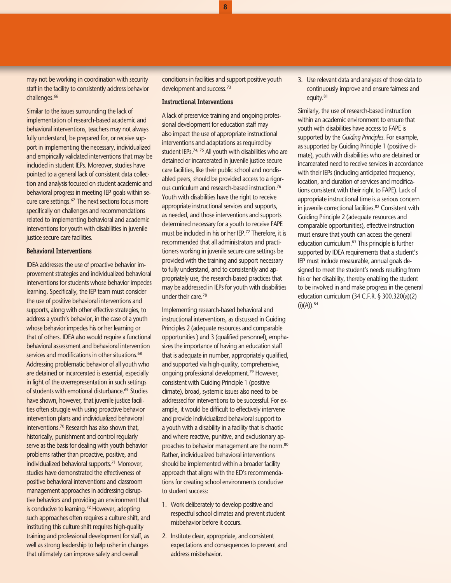may not be working in coordination with security staff in the facility to consistently address behavior challenges.<sup>66</sup>

Similar to the issues surrounding the lack of implementation of research-based academic and behavioral interventions, teachers may not always fully understand, be prepared for, or receive support in implementing the necessary, individualized and empirically validated interventions that may be included in student IEPs. Moreover, studies have pointed to a general lack of consistent data collection and analysis focused on student academic and behavioral progress in meeting IEP goals within secure care settings.<sup>67</sup> The next sections focus more specifically on challenges and recommendations related to implementing behavioral and academic interventions for youth with disabilities in juvenile justice secure care facilities.

#### **Behavioral Interventions**

IDEA addresses the use of proactive behavior improvement strategies and individualized behavioral interventions for students whose behavior impedes learning. Specifically, the IEP team must consider the use of positive behavioral interventions and supports, along with other effective strategies, to address a youth's behavior, in the case of a youth whose behavior impedes his or her learning or that of others. IDEA also would require a functional behavioral assessment and behavioral intervention services and modifications in other situations.<sup>68</sup> Addressing problematic behavior of all youth who are detained or incarcerated is essential, especially in light of the overrepresentation in such settings of students with emotional disturbance.[69](#page-11-9) Studies have shown, however, that juvenile justice facilities often struggle with using proactive behavior intervention plans and individualized behavioral interventions[.70](#page-11-10) Research has also shown that, historically, punishment and control regularly serve as the basis for dealing with youth behavior problems rather than proactive, positive, and individualized behavioral supports.<sup>71</sup> Moreover, studies have demonstrated the effectiveness of positive behavioral interventions and classroom management approaches in addressing disruptive behaviors and providing an environment that is conducive to learning.<sup>72</sup> However, adopting such approaches often requires a culture shift, and instituting this culture shift requires high-quality training and professional development for staff, as well as strong leadership to help usher in changes that ultimately can improve safety and overall

conditions in facilities and support positive youth development and success.[73](#page-11-13)

**8**

#### **Instructional Interventions**

A lack of preservice training and ongoing professional development for education staff may also impact the use of appropriate instructional interventions and adaptations as required by student IEPs.<sup>74, 75</sup> All youth with disabilities who are detained or incarcerated in juvenile justice secure care facilities, like their public school and nondisabled peers, should be provided access to a rigorous curriculum and research-based instruction[.76](#page-11-16) Youth with disabilities have the right to receive appropriate instructional services and supports, as needed, and those interventions and supports determined necessary for a youth to receive FAPE must be included in his or her IEP[.77](#page-11-17) Therefore, it is recommended that all administrators and practitioners working in juvenile secure care settings be provided with the training and support necessary to fully understand, and to consistently and appropriately use, the research-based practices that may be addressed in IEPs for youth with disabilities under their care[.78](#page-11-18)

Implementing research-based behavioral and instructional interventions, as discussed in Guiding Principles 2 (adequate resources and comparable opportunities ) and 3 (qualified personnel), emphasizes the importance of having an education staff that is adequate in number, appropriately qualified, and supported via high-quality, comprehensive, ongoing professional development.<sup>79</sup> However, consistent with Guiding Principle 1 (positive climate), broad, systemic issues also need to be addressed for interventions to be successful. For example, it would be difficult to effectively intervene and provide individualized behavioral support to a youth with a disability in a facility that is chaotic and where reactive, punitive, and exclusionary ap-proaches to behavior management are the norm.<sup>[80](#page-11-20)</sup> Rather, individualized behavioral interventions should be implemented within a broader facility approach that aligns with the ED's recommendations for creating school environments conducive to student success:

- 1. Work deliberately to develop positive and respectful school climates and prevent student misbehavior before it occurs.
- 2. Institute clear, appropriate, and consistent expectations and consequences to prevent and address misbehavior.

3. Use relevant data and analyses of those data to continuously improve and ensure fairness and equity[.81](#page-11-21)

Similarly, the use of research-based instruction within an academic environment to ensure that youth with disabilities have access to FAPE is supported by the *Guiding Principles*. For example, as supported by Guiding Principle 1 (positive climate), youth with disabilities who are detained or incarcerated need to receive services in accordance with their IEPs (including anticipated frequency, location, and duration of services and modifications consistent with their right to FAPE). Lack of appropriate instructional time is a serious concern in juvenile correctional facilities.<sup>82</sup> Consistent with Guiding Principle 2 (adequate resources and comparable opportunities), effective instruction must ensure that youth can access the general education curriculum[.83](#page-11-23) This principle is further supported by IDEA requirements that a student's IEP must include measurable, annual goals designed to meet the student's needs resulting from his or her disability, thereby enabling the student to be involved in and make progress in the general education curriculum (34 C.F.R. § 300.320(a)(2)  $(i)(A))$ . 84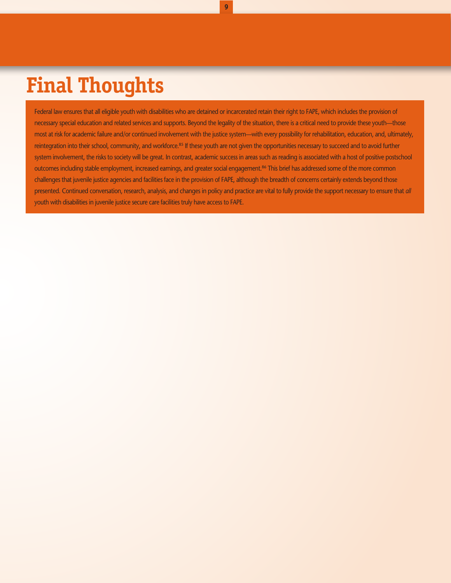## **Final Thoughts**

Federal law ensures that all eligible youth with disabilities who are detained or incarcerated retain their right to FAPE, which includes the provision of necessary special education and related services and supports. Beyond the legality of the situation, there is a critical need to provide these youth—those most at risk for academic failure and/or continued involvement with the justice system—with every possibility for rehabilitation, education, and, ultimately, reintegration into their school, community, and workforce.<sup>85</sup> If these youth are not given the opportunities necessary to succeed and to avoid further system involvement, the risks to society will be great. In contrast, academic success in areas such as reading is associated with a host of positive postschool outcomes including stable employment, increased earnings, and greater social engagement.<sup>86</sup> This brief has addressed some of the more common challenges that juvenile justice agencies and facilities face in the provision of FAPE, although the breadth of concerns certainly extends beyond those presented. Continued conversation, research, analysis, and changes in policy and practice are vital to fully provide the support necessary to ensure that *all* youth with disabilities in juvenile justice secure care facilities truly have access to FAPE.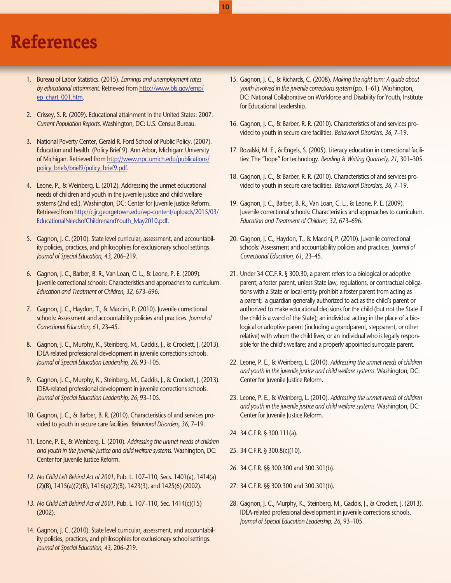## **References**

- <span id="page-9-0"></span>1. Bureau of Labor Statistics. (2015). *Earnings and unemployment rates by educational attainment.* Retrieved from [http://www.bls.gov/emp/](http://www.bls.gov/emp/ep_chart_001.htm) [ep\\_chart\\_001.htm](http://www.bls.gov/emp/ep_chart_001.htm).
- <span id="page-9-1"></span>2. Crissey, S. R. (2009). Educational attainment in the United States: 2007. *Current Population Reports.* Washington, DC: U.S. Census Bureau.
- <span id="page-9-2"></span>3. National Poverty Center, Gerald R. Ford School of Public Policy. (2007). Education and health. (Policy Brief 9). Ann Arbor, Michigan: University of Michigan. Retrieved from [http://www.npc.umich.edu/publications/](http://www.npc.umich.edu/publications/policy_briefs/brief9/policy_brief9.pdf) [policy\\_briefs/brief9/policy\\_brief9.pdf](http://www.npc.umich.edu/publications/policy_briefs/brief9/policy_brief9.pdf).
- <span id="page-9-3"></span>4. Leone, P., & Weinberg, L. (2012). Addressing the unmet educational needs of children and youth in the juvenile justice and child welfare systems (2nd ed.). Washington, DC: Center for Juvenile Justice Reform. Retrieved from [http://cjjr.georgetown.edu/wp-content/uploads/2015/03/](http://cjjr.georgetown.edu/wp-content/uploads/2015/03/EducationalNeedsofChildrenandYouth_May2010.pdf) [EducationalNeedsofChildrenandYouth\\_May2010.pdf](http://cjjr.georgetown.edu/wp-content/uploads/2015/03/EducationalNeedsofChildrenandYouth_May2010.pdf).
- <span id="page-9-4"></span>5. Gagnon, J. C. (2010). State level curricular, assessment, and accountability policies, practices, and philosophies for exclusionary school settings. *Journal of Special Education*, *43,* 206–219.
- <span id="page-9-5"></span>6. Gagnon, J. C., Barber, B. R., Van Loan, C. L., & Leone, P. E. (2009). Juvenile correctional schools: Characteristics and approaches to curriculum. *Education and Treatment of Children, 32,* 673–696.
- <span id="page-9-6"></span>7. Gagnon, J. C., Haydon, T., & Maccini, P. (2010). Juvenile correctional schools: Assessment and accountability policies and practices. *Journal of Correctional Education, 61,* 23–45.
- <span id="page-9-7"></span>8. Gagnon, J. C., Murphy, K., Steinberg, M., Gaddis, J., & Crockett, J. (2013). IDEA-related professional development in juvenile corrections schools. *Journal of Special Education Leadership, 26,* 93–105.
- <span id="page-9-8"></span>9. Gagnon, J. C., Murphy, K., Steinberg, M., Gaddis, J., & Crockett, J. (2013). IDEA-related professional development in juvenile corrections schools. *Journal of Special Education Leadership, 26,* 93–105.
- <span id="page-9-9"></span>10. Gagnon, J. C., & Barber, B. R. (2010). Characteristics of and services provided to youth in secure care facilities. *Behavioral Disorders, 36,* 7–19.
- <span id="page-9-10"></span>11. Leone, P. E., & Weinberg, L. (2010). *Addressing the unmet needs of children and youth in the juvenile justice and child welfare systems.* Washington, DC: Center for Juvenile Justice Reform.
- <span id="page-9-11"></span>*12. No Child Left Behind Act of 2001,* Pub. L. 107–110, Secs. 1401(a), 1414(a) (2)(B), 1415(a)(2)(B), 1416(a)(2)(B), 1423(3), and 1425(6) (2002).
- <span id="page-9-12"></span>*13. No Child Left Behind Act of 2001,* Pub. L. 107–110, Sec. 1414(c)(15) (2002).
- <span id="page-9-13"></span>14. Gagnon, J. C. (2010). State level curricular, assessment, and accountability policies, practices, and philosophies for exclusionary school settings. *Journal of Special Education, 43,* 206–219.

<span id="page-9-14"></span>15. Gagnon, J. C., & Richards, C. (2008). *Making the right turn: A guide about youth involved in the juvenile corrections system* (pp. 1–61). Washington, DC: National Collaborative on Workforce and Disability for Youth, Institute for Educational Leadership.

**10**

- <span id="page-9-15"></span>16. Gagnon, J. C., & Barber, R. R. (2010). Characteristics of and services provided to youth in secure care facilities. *Behavioral Disorders, 36,* 7–19.
- <span id="page-9-16"></span>17. Rozalski, M. E., & Engels, S. (2005). Literacy education in correctional facilities: The "hope" for technology. *Reading & Writing Quarterly, 21,* 301–305.
- <span id="page-9-17"></span>18. Gagnon, J. C., & Barber, R. R. (2010). Characteristics of and services provided to youth in secure care facilities. *Behavioral Disorders, 36,* 7–19.
- <span id="page-9-18"></span>19. Gagnon, J. C., Barber, B. R., Van Loan, C. L., & Leone, P. E. (2009). Juvenile correctional schools: Characteristics and approaches to curriculum. *Education and Treatment of Children, 32,* 673–696.
- <span id="page-9-19"></span>20. Gagnon, J. C., Haydon, T., & Maccini, P. (2010). Juvenile correctional schools: Assessment and accountability policies and practices. *Journal of Correctional Education, 61,* 23–45.
- <span id="page-9-20"></span>21. Under 34 CC.F.R. § 300.30, a parent refers to a biological or adoptive parent; a foster parent, unless State law, regulations, or contractual obligations with a State or local entity prohibit a foster parent from acting as a parent; a guardian generally authorized to act as the child's parent or authorized to make educational decisions for the child (but not the State if the child is a ward of the State); an individual acting in the place of a biological or adoptive parent (including a grandparent, stepparent, or other relative) with whom the child lives; or an individual who is legally responsible for the child's welfare; and a properly appointed surrogate parent.
- <span id="page-9-21"></span>22. Leone, P. E., & Weinberg, L. (2010). *Addressing the unmet needs of children and youth in the juvenile justice and child welfare systems.* Washington, DC: Center for Juvenile Justice Reform.
- <span id="page-9-22"></span>23. Leone, P. E., & Weinberg, L. (2010). *Addressing the unmet needs of children and youth in the juvenile justice and child welfare systems.* Washington, DC: Center for Juvenile Justice Reform.
- <span id="page-9-23"></span>24. 34 C.F.R. § 300.111(a).
- <span id="page-9-24"></span>25. 34 C.F.R. § 300.8(c)(10).
- <span id="page-9-25"></span>26. 34 C.F.R. §§ 300.300 and 300.301(b).
- <span id="page-9-26"></span>27. 34 C.F.R. §§ 300.300 and 300.301(b).
- <span id="page-9-27"></span>28. Gagnon, J. C., Murphy, K., Steinberg, M., Gaddis, J., & Crockett, J. (2013). IDEA-related professional development in juvenile corrections schools. *Journal of Special Education Leadership, 26,* 93–105.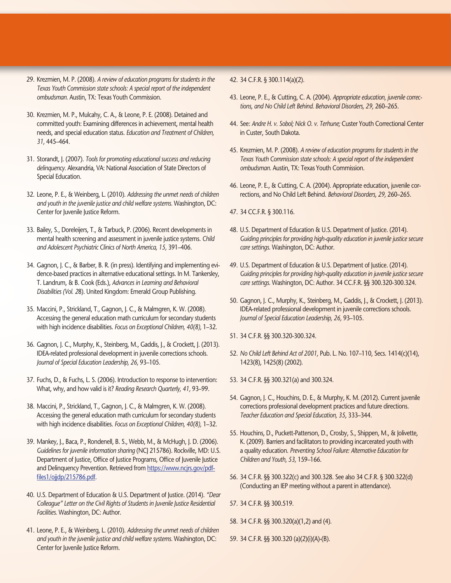- <span id="page-10-0"></span>29. Krezmien, M. P. (2008). *A review of education programs for students in the Texas Youth Commission state schools: A special report of the independent ombudsman.* Austin, TX: Texas Youth Commission.
- <span id="page-10-1"></span>30. Krezmien, M. P., Mulcahy, C. A., & Leone, P. E. (2008). Detained and committed youth: Examining differences in achievement, mental health needs, and special education status. *Education and Treatment of Children, 31,* 445–464.
- <span id="page-10-2"></span>31. Storandt, J. (2007). *Tools for promoting educational success and reducing delinquency.* Alexandria, VA: National Association of State Directors of Special Education.
- <span id="page-10-3"></span>32. Leone, P. E., & Weinberg, L. (2010). *Addressing the unmet needs of children and youth in the juvenile justice and child welfare systems.* Washington, DC: Center for Juvenile Justice Reform.
- <span id="page-10-4"></span>33. Bailey, S., Doreleijers, T., & Tarbuck, P. (2006). Recent developments in mental health screening and assessment in juvenile justice systems. *Child and Adolescent Psychiatric Clinics of North America, 15,* 391–406.
- <span id="page-10-5"></span>34. Gagnon, J. C., & Barber, B. R. (in press). Identifying and implementing evidence-based practices in alternative educational settings. In M. Tankersley, T. Landrum, & B. Cook (Eds.), *Advances in Learning and Behavioral Disabilities (Vol. 2*8). United Kingdom: Emerald Group Publishing.
- <span id="page-10-6"></span>35. Maccini, P., Strickland, T., Gagnon, J. C., & Malmgren, K. W. (2008). Accessing the general education math curriculum for secondary students with high incidence disabilities. *Focus on Exceptional Children, 40(8),* 1–32.
- <span id="page-10-7"></span>36. Gagnon, J. C., Murphy, K., Steinberg, M., Gaddis, J., & Crockett, J. (2013). IDEA-related professional development in juvenile corrections schools. *Journal of Special Education Leadership, 26,* 93–105.
- <span id="page-10-8"></span>37. Fuchs, D., & Fuchs, L. S. (2006). Introduction to response to intervention: What, why, and how valid is it? *Reading Research Quarterly, 41,* 93–99.
- <span id="page-10-9"></span>38. Maccini, P., Strickland, T., Gagnon, J. C., & Malmgren, K. W. (2008). Accessing the general education math curriculum for secondary students with high incidence disabilities. *Focus on Exceptional Children, 40(8),* 1–32.
- <span id="page-10-10"></span>39. Mankey, J., Baca, P., Rondenell, B. S., Webb, M., & McHugh, J. D. (2006). *Guidelines for juvenile information sharing* (NCJ 215786). Rockville, MD: U.S. Department of Justice, Office of Justice Programs, Office of Juvenile Justice and Delinquency Prevention. Retrieved from [https://www.ncjrs.gov/pdf](https://www.ncjrs.gov/pdffiles1/ojjdp/215786.pdf)[files1/ojjdp/215786.pdf](https://www.ncjrs.gov/pdffiles1/ojjdp/215786.pdf).
- <span id="page-10-11"></span>40. U.S. Department of Education & U.S. Department of Justice. (2014). *"Dear Colleague" Letter on the Civil Rights of Students in Juvenile Justice Residential Facilities.* Washington, DC: Author.
- <span id="page-10-12"></span>41. Leone, P. E., & Weinberg, L. (2010). *Addressing the unmet needs of children and youth in the juvenile justice and child welfare systems.* Washington, DC: Center for Juvenile Justice Reform.

#### <span id="page-10-13"></span>42. 34 C.F.R. § 300.114(a)(2).

- <span id="page-10-14"></span>43. Leone, P. E., & Cutting, C. A. (2004). *Appropriate education, juvenile corrections, and No Child Left Behind. Behavioral Disorders, 29,* 260–265.
- <span id="page-10-15"></span>44. See: *Andre H. v. Sobol; Nick O. v. Terhune;* Custer Youth Correctional Center in Custer, South Dakota.
- <span id="page-10-16"></span>45. Krezmien, M. P. (2008). *A review of education programs for students in the Texas Youth Commission state schools: A special report of the independent ombudsman.* Austin, TX: Texas Youth Commission.
- <span id="page-10-17"></span>46. Leone, P. E., & Cutting, C. A. (2004). Appropriate education, juvenile corrections, and No Child Left Behind. *Behavioral Disorders, 29,* 260–265.

<span id="page-10-18"></span>47. 34 CC.F.R. § 300.116.

- <span id="page-10-19"></span>48. U.S. Department of Education & U.S. Department of Justice. (2014). *Guiding principles for providing high-quality education in juvenile justice secure care settings.* Washington, DC: Author.
- <span id="page-10-20"></span>49. U.S. Department of Education & U.S. Department of Justice. (2014). *Guiding principles for providing high-quality education in juvenile justice secure care settings.* Washington, DC: Author. 34 CC.F.R. §§ 300.320-300.324.
- <span id="page-10-21"></span>50. Gagnon, J. C., Murphy, K., Steinberg, M., Gaddis, J., & Crockett, J. (2013). IDEA-related professional development in juvenile corrections schools. *Journal of Special Education Leadership, 26,* 93–105.
- <span id="page-10-22"></span>51. 34 C.F.R. §§ 300.320-300.324.
- <span id="page-10-23"></span>52. *No Child Left Behind Act of 2001,* Pub. L. No. 107–110, Secs. 1414(c)(14), 1423(8), 1425(8) (2002).
- <span id="page-10-24"></span>53. 34 C.F.R. §§ 300.321(a) and 300.324.
- <span id="page-10-25"></span>54. Gagnon, J. C., Houchins, D. E., & Murphy, K. M. (2012). Current juvenile corrections professional development practices and future directions. *Teacher Education and Special Education, 35*, 333–344.
- <span id="page-10-26"></span>55. Houchins, D., Puckett-Patterson, D., Crosby, S., Shippen, M., & Jolivette, K. (2009). Barriers and facilitators to providing incarcerated youth with a quality education. *Preventing School Failure: Alternative Education for Children and Youth, 53,* 159–166.
- <span id="page-10-27"></span>56. 34 C.F.R. §§ 300.322(c) and 300.328. See also 34 C.F.R. § 300.322(d) (Conducting an IEP meeting without a parent in attendance).

<span id="page-10-28"></span>57. 34 C.F.R. §§ 300.519.

- <span id="page-10-29"></span>58. 34 C.F.R. §§ 300.320(a)(1,2) and (4).
- <span id="page-10-30"></span>59. 34 C.F.R. §§ 300.320 (a)(2)(i)(A)-(B).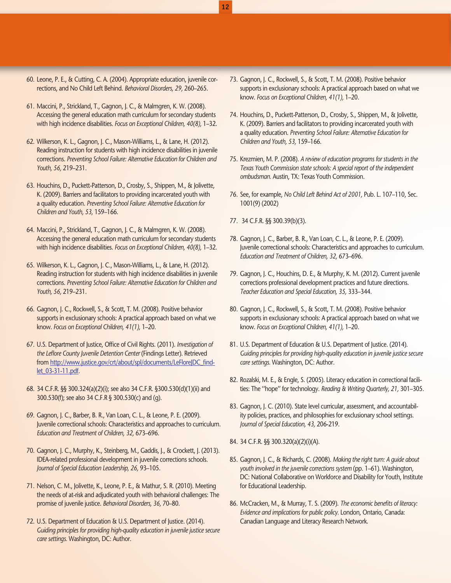- <span id="page-11-0"></span>60. Leone, P. E., & Cutting, C. A. (2004). Appropriate education, juvenile corrections, and No Child Left Behind. *Behavioral Disorders, 29,* 260–265.
- <span id="page-11-1"></span>61. Maccini, P., Strickland, T., Gagnon, J. C., & Malmgren, K. W. (2008). Accessing the general education math curriculum for secondary students with high incidence disabilities. *Focus on Exceptional Children, 40(8),* 1–32.
- <span id="page-11-2"></span>62. Wilkerson, K. L., Gagnon, J. C., Mason-Williams, L., & Lane, H. (2012). Reading instruction for students with high incidence disabilities in juvenile corrections. *Preventing School Failure: Alternative Education for Children and Youth, 56,* 219–231.
- <span id="page-11-3"></span>63. Houchins, D., Puckett-Patterson, D., Crosby, S., Shippen, M., & Jolivette, K. (2009). Barriers and facilitators to providing incarcerated youth with a quality education. *Preventing School Failure: Alternative Education for Children and Youth, 53,* 159–166.
- <span id="page-11-4"></span>64. Maccini, P., Strickland, T., Gagnon, J. C., & Malmgren, K. W. (2008). Accessing the general education math curriculum for secondary students with high incidence disabilities. *Focus on Exceptional Children, 40(8),* 1–32.
- <span id="page-11-5"></span>65. Wilkerson, K. L., Gagnon, J. C., Mason-Williams, L., & Lane, H. (2012). Reading instruction for students with high incidence disabilities in juvenile corrections. *Preventing School Failure: Alternative Education for Children and Youth, 56,* 219–231.
- <span id="page-11-6"></span>66. Gagnon, J. C., Rockwell, S., & Scott, T. M. (2008). Positive behavior supports in exclusionary schools: A practical approach based on what we know. *Focus on Exceptional Children, 41(1),* 1–20.
- <span id="page-11-7"></span>67. U.S. Department of Justice, Office of Civil Rights. (2011). *Investigation of the Leflore County Juvenile Detention Center* (Findings Letter). Retrieved from [http://www.justice.gov/crt/about/spl/documents/LeFloreJDC\\_find](http://www.justice.gov/crt/about/spl/documents/LeFloreJDC_findlet_03-31-11.pdf)[let\\_03-31-11.pdf](http://www.justice.gov/crt/about/spl/documents/LeFloreJDC_findlet_03-31-11.pdf).
- <span id="page-11-8"></span>68. 34 C.F.R. §§ 300.324(a)(2)(i); see also 34 C.F.R. §300.530(d)(1)(ii) and 300.530(f); see also 34 C.F.R § 300.530(c) and (g).
- <span id="page-11-9"></span>69. Gagnon, J. C., Barber, B. R., Van Loan, C. L., & Leone, P. E. (2009). Juvenile correctional schools: Characteristics and approaches to curriculum. *Education and Treatment of Children, 32,* 673–696.
- <span id="page-11-10"></span>70. Gagnon, J. C., Murphy, K., Steinberg, M., Gaddis, J., & Crockett, J. (2013). IDEA-related professional development in juvenile corrections schools. *Journal of Special Education Leadership, 26,* 93–105.
- <span id="page-11-11"></span>71. Nelson, C. M., Jolivette, K., Leone, P. E., & Mathur, S. R. (2010). Meeting the needs of at-risk and adjudicated youth with behavioral challenges: The promise of juvenile justice. *Behavioral Disorders, 36,* 70–80.
- <span id="page-11-12"></span>72. U.S. Department of Education & U.S. Department of Justice. (2014). *Guiding principles for providing high-quality education in juvenile justice secure care settings.* Washington, DC: Author.
- <span id="page-11-13"></span>73. Gagnon, J. C., Rockwell, S., & Scott, T. M. (2008). Positive behavior supports in exclusionary schools: A practical approach based on what we know. *Focus on Exceptional Children, 41(1),* 1–20.
- <span id="page-11-14"></span>74. Houchins, D., Puckett-Patterson, D., Crosby, S., Shippen, M., & Jolivette, K. (2009). Barriers and facilitators to providing incarcerated youth with a quality education. *Preventing School Failure: Alternative Education for Children and Youth, 53,* 159–166.
- <span id="page-11-15"></span>75. Krezmien, M. P. (2008). *A review of education programs for students in the Texas Youth Commission state schools: A special report of the independent ombudsman.* Austin, TX: Texas Youth Commission.
- <span id="page-11-16"></span>76. See, for example, *No Child Left Behind Act of 2001,* Pub. L. 107–110, Sec. 1001(9) (2002)
- <span id="page-11-17"></span>77. 34 C.F.R. §§ 300.39(b)(3).

**12**

- <span id="page-11-18"></span>78. Gagnon, J. C., Barber, B. R., Van Loan, C. L., & Leone, P. E. (2009). Juvenile correctional schools: Characteristics and approaches to curriculum. *Education and Treatment of Children, 32,* 673–696.
- <span id="page-11-19"></span>79. Gagnon, J. C., Houchins, D. E., & Murphy, K. M. (2012). Current juvenile corrections professional development practices and future directions. *Teacher Education and Special Education, 35,* 333–344.
- <span id="page-11-20"></span>80. Gagnon, J. C., Rockwell, S., & Scott, T. M. (2008). Positive behavior supports in exclusionary schools: A practical approach based on what we know. *Focus on Exceptional Children, 41(1),* 1–20.
- <span id="page-11-21"></span>81. U.S. Department of Education & U.S. Department of Justice. (2014). *Guiding principles for providing high-quality education in juvenile justice secure care settings.* Washington, DC: Author.
- <span id="page-11-22"></span>82. Rozalski, M. E., & Engle, S. (2005). Literacy education in correctional facilities: The ''hope'' for technology. *Reading & Writing Quarterly, 21,* 301–305.
- <span id="page-11-23"></span>83. Gagnon, J. C. (2010). State level curricular, assessment, and accountability policies, practices, and philosophies for exclusionary school settings. *Journal of Special Education, 43,* 206-219.
- <span id="page-11-24"></span>84. 34 C.F.R. §§ 300.320(a)(2)(i)(A).
- <span id="page-11-25"></span>85. Gagnon, J. C., & Richards, C. (2008). *Making the right turn: A guide about youth involved in the juvenile corrections system* (pp. 1–61). Washington, DC: National Collaborative on Workforce and Disability for Youth, Institute for Educational Leadership.
- <span id="page-11-26"></span>86. McCracken, M., & Murray, T. S. (2009). *The economic benefits of literacy: Evidence and implications for public policy.* London, Ontario, Canada: Canadian Language and Literacy Research Network.